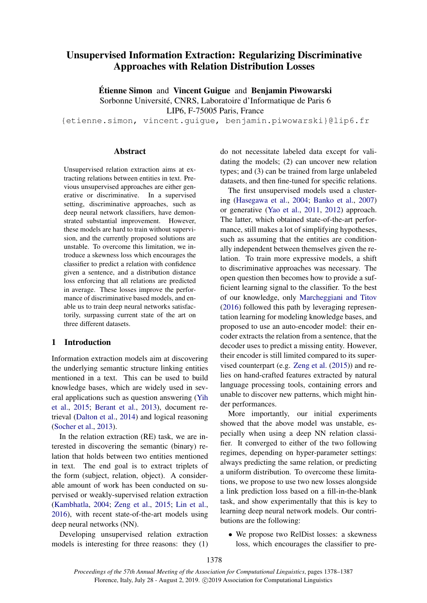# <span id="page-0-0"></span>Unsupervised Information Extraction: Regularizing Discriminative Approaches with Relation Distribution Losses

Étienne Simon and Vincent Guigue and Benjamin Piwowarski Sorbonne Université, CNRS, Laboratoire d'Informatique de Paris 6 LIP6, F-75005 Paris, France

{etienne.simon, vincent.guigue, benjamin.piwowarski}@lip6.fr

## **Abstract**

Unsupervised relation extraction aims at extracting relations between entities in text. Previous unsupervised approaches are either generative or discriminative. In a supervised setting, discriminative approaches, such as deep neural network classifiers, have demonstrated substantial improvement. However, these models are hard to train without supervision, and the currently proposed solutions are unstable. To overcome this limitation, we introduce a skewness loss which encourages the classifier to predict a relation with confidence given a sentence, and a distribution distance loss enforcing that all relations are predicted in average. These losses improve the performance of discriminative based models, and enable us to train deep neural networks satisfactorily, surpassing current state of the art on three different datasets.

# 1 Introduction

Information extraction models aim at discovering the underlying semantic structure linking entities mentioned in a text. This can be used to build knowledge bases, which are widely used in several applications such as question answering [\(Yih](#page-9-0) [et al.,](#page-9-0) [2015;](#page-9-0) [Berant et al.,](#page-8-0) [2013\)](#page-8-0), document retrieval [\(Dalton et al.,](#page-8-1) [2014\)](#page-8-1) and logical reasoning [\(Socher et al.,](#page-9-1) [2013\)](#page-9-1).

In the relation extraction (RE) task, we are interested in discovering the semantic (binary) relation that holds between two entities mentioned in text. The end goal is to extract triplets of the form (subject, relation, object). A considerable amount of work has been conducted on supervised or weakly-supervised relation extraction [\(Kambhatla,](#page-9-2) [2004;](#page-9-2) [Zeng et al.,](#page-9-3) [2015;](#page-9-3) [Lin et al.,](#page-9-4) [2016\)](#page-9-4), with recent state-of-the-art models using deep neural networks (NN).

Developing unsupervised relation extraction models is interesting for three reasons: they (1) do not necessitate labeled data except for validating the models; (2) can uncover new relation types; and (3) can be trained from large unlabeled datasets, and then fine-tuned for specific relations.

The first unsupervised models used a clustering [\(Hasegawa et al.,](#page-9-5) [2004;](#page-9-5) [Banko et al.,](#page-8-2) [2007\)](#page-8-2) or generative [\(Yao et al.,](#page-9-6) [2011,](#page-9-6) [2012\)](#page-9-7) approach. The latter, which obtained state-of-the-art performance, still makes a lot of simplifying hypotheses, such as assuming that the entities are conditionally independent between themselves given the relation. To train more expressive models, a shift to discriminative approaches was necessary. The open question then becomes how to provide a sufficient learning signal to the classifier. To the best of our knowledge, only [Marcheggiani and Titov](#page-9-8) [\(2016\)](#page-9-8) followed this path by leveraging representation learning for modeling knowledge bases, and proposed to use an auto-encoder model: their encoder extracts the relation from a sentence, that the decoder uses to predict a missing entity. However, their encoder is still limited compared to its supervised counterpart (e.g. [Zeng et al.](#page-9-3) [\(2015\)](#page-9-3)) and relies on hand-crafted features extracted by natural language processing tools, containing errors and unable to discover new patterns, which might hinder performances.

More importantly, our initial experiments showed that the above model was unstable, especially when using a deep NN relation classifier. It converged to either of the two following regimes, depending on hyper-parameter settings: always predicting the same relation, or predicting a uniform distribution. To overcome these limitations, we propose to use two new losses alongside a link prediction loss based on a fill-in-the-blank task, and show experimentally that this is key to learning deep neural network models. Our contributions are the following:

• We propose two RelDist losses: a skewness loss, which encourages the classifier to pre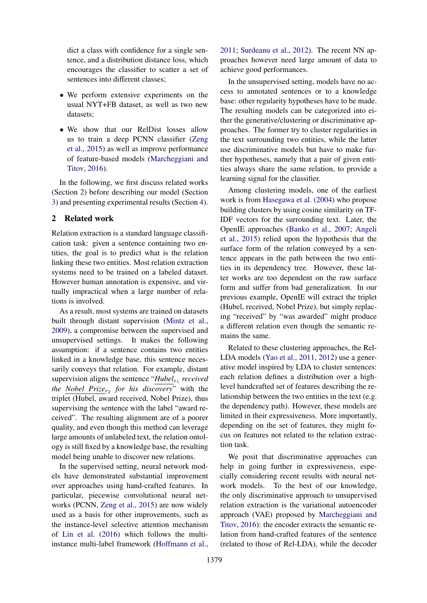dict a class with confidence for a single sentence, and a distribution distance loss, which encourages the classifier to scatter a set of sentences into different classes;

- We perform extensive experiments on the usual NYT+FB dataset, as well as two new datasets;
- We show that our RelDist losses allow us to train a deep PCNN classifier [\(Zeng](#page-9-3) [et al.,](#page-9-3) [2015\)](#page-9-3) as well as improve performance of feature-based models [\(Marcheggiani and](#page-9-8) [Titov,](#page-9-8) [2016\)](#page-9-8).

In the following, we first discuss related works (Section [2\)](#page-1-0) before describing our model (Section [3\)](#page-2-0) and presenting experimental results (Section [4\)](#page-5-0).

# <span id="page-1-0"></span>2 Related work

Relation extraction is a standard language classification task: given a sentence containing two entities, the goal is to predict what is the relation linking these two entities. Most relation extraction systems need to be trained on a labeled dataset. However human annotation is expensive, and virtually impractical when a large number of relations is involved.

As a result, most systems are trained on datasets built through distant supervision [\(Mintz et al.,](#page-9-9) [2009\)](#page-9-9), a compromise between the supervised and unsupervised settings. It makes the following assumption: if a sentence contains two entities linked in a knowledge base, this sentence necessarily conveys that relation. For example, distant supervision aligns the sentence "*Hubel<sub>e1</sub> received the <u>Nobel Prize<sub>e2</sub></u> for his discovery*" with the triplet (Hubel, award received, Nobel Prize), thus supervising the sentence with the label "award received". The resulting alignment are of a poorer quality, and even though this method can leverage large amounts of unlabeled text, the relation ontology is still fixed by a knowledge base, the resulting model being unable to discover new relations.

In the supervised setting, neural network models have demonstrated substantial improvement over approaches using hand-crafted features. In particular, piecewise convolutional neural networks (PCNN, [Zeng et al.,](#page-9-3) [2015\)](#page-9-3) are now widely used as a basis for other improvements, such as the instance-level selective attention mechanism of [Lin et al.](#page-9-4) [\(2016\)](#page-9-4) which follows the multiinstance multi-label framework [\(Hoffmann et al.,](#page-9-10)

[2011;](#page-9-10) [Surdeanu et al.,](#page-9-11) [2012\)](#page-9-11). The recent NN approaches however need large amount of data to achieve good performances.

In the unsupervised setting, models have no access to annotated sentences or to a knowledge base: other regularity hypotheses have to be made. The resulting models can be categorized into either the generative/clustering or discriminative approaches. The former try to cluster regularities in the text surrounding two entities, while the latter use discriminative models but have to make further hypotheses, namely that a pair of given entities always share the same relation, to provide a learning signal for the classifier.

Among clustering models, one of the earliest work is from [Hasegawa et al.](#page-9-5) [\(2004\)](#page-9-5) who propose building clusters by using cosine similarity on TF-IDF vectors for the surrounding text. Later, the OpenIE approaches [\(Banko et al.,](#page-8-2) [2007;](#page-8-2) [Angeli](#page-8-3) [et al.,](#page-8-3) [2015\)](#page-8-3) relied upon the hypothesis that the surface form of the relation conveyed by a sentence appears in the path between the two entities in its dependency tree. However, these latter works are too dependent on the raw surface form and suffer from bad generalization. In our previous example, OpenIE will extract the triplet (Hubel, received, Nobel Prize), but simply replacing "received" by "was awarded" might produce a different relation even though the semantic remains the same.

Related to these clustering approaches, the Rel-LDA models [\(Yao et al.,](#page-9-6) [2011,](#page-9-6) [2012\)](#page-9-7) use a generative model inspired by LDA to cluster sentences: each relation defines a distribution over a highlevel handcrafted set of features describing the relationship between the two entities in the text (e.g. the dependency path). However, these models are limited in their expressiveness. More importantly, depending on the set of features, they might focus on features not related to the relation extraction task.

We posit that discriminative approaches can help in going further in expressiveness, especially considering recent results with neural network models. To the best of our knowledge, the only discriminative approach to unsupervised relation extraction is the variational autoencoder approach (VAE) proposed by [Marcheggiani and](#page-9-8) [Titov,](#page-9-8) [2016\)](#page-9-8): the encoder extracts the semantic relation from hand-crafted features of the sentence (related to those of Rel-LDA), while the decoder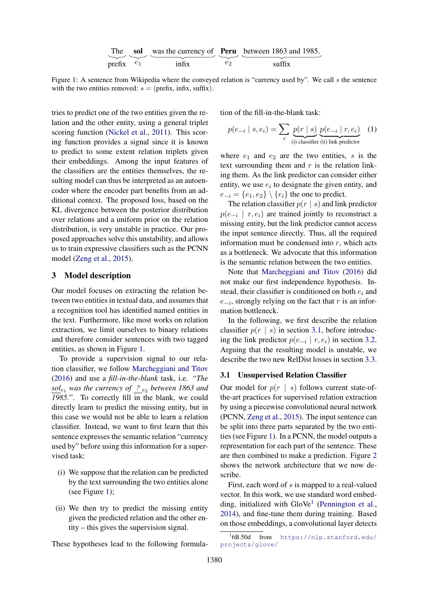The **sol** was the currency of **Peru** between 1863 and 1985.  
prefix 
$$
e_1
$$
  $e_2$  between 1863 and 1985.

<span id="page-2-1"></span>Figure 1: A sentence from Wikipedia where the conveyed relation is "currency used by". We call s the sentence with the two entities removed:  $s = (prefix, infix, suffix)$ .

tries to predict one of the two entities given the relation and the other entity, using a general triplet scoring function [\(Nickel et al.,](#page-9-12) [2011\)](#page-9-12). This scoring function provides a signal since it is known to predict to some extent relation triplets given their embeddings. Among the input features of the classifiers are the entities themselves, the resulting model can thus be interpreted as an autoencoder where the encoder part benefits from an additional context. The proposed loss, based on the KL divergence between the posterior distribution over relations and a uniform prior on the relation distribution, is very unstable in practice. Our proposed approaches solve this unstability, and allows us to train expressive classifiers such as the PCNN model [\(Zeng et al.,](#page-9-3) [2015\)](#page-9-3).

#### <span id="page-2-0"></span>3 Model description

Our model focuses on extracting the relation between two entities in textual data, and assumes that a recognition tool has identified named entities in the text. Furthermore, like most works on relation extraction, we limit ourselves to binary relations and therefore consider sentences with two tagged entities, as shown in Figure [1.](#page-2-1)

To provide a supervision signal to our relation classifier, we follow [Marcheggiani and Titov](#page-9-8) [\(2016\)](#page-9-8) and use a *fill-in-the-blank* task, i.e. "*The*  $\frac{sol_{e_1}}{sol_{e_1}}$  was the currency of <u>?</u> <sub>e2</sub> between 1863 and  $\overline{1985}$ .". To correctly fill in the blank, we could directly learn to predict the missing entity, but in this case we would not be able to learn a relation classifier. Instead, we want to first learn that this sentence expresses the semantic relation "currency used by" before using this information for a supervised task:

- (i) We suppose that the relation can be predicted by the text surrounding the two entities alone (see Figure [1\)](#page-2-1);
- (ii) We then try to predict the missing entity given the predicted relation and the other entity – this gives the supervision signal.

These hypotheses lead to the following formula-

tion of the fill-in-the-blank task:

<span id="page-2-3"></span>
$$
p(e_{-i} | s, e_i) = \sum_{r} \underbrace{p(r | s)}_{\text{(i) classifier (ii) link predictor}} (1)
$$

where  $e_1$  and  $e_2$  are the two entities, s is the text surrounding them and  $r$  is the relation linking them. As the link predictor can consider either entity, we use  $e_i$  to designate the given entity, and  $e_{-i} = \{e_1, e_2\} \setminus \{e_i\}$  the one to predict.

The relation classifier  $p(r | s)$  and link predictor  $p(e_{-i} \mid r, e_i)$  are trained jointly to reconstruct a missing entity, but the link predictor cannot access the input sentence directly. Thus, all the required information must be condensed into  $r$ , which acts as a bottleneck. We advocate that this information is the semantic relation between the two entities.

Note that [Marcheggiani and Titov](#page-9-8) [\(2016\)](#page-9-8) did not make our first independence hypothesis. Instead, their classifier is conditioned on both  $e_i$  and  $e_{-i}$ , strongly relying on the fact that r is an information bottleneck.

In the following, we first describe the relation classifier  $p(r \mid s)$  in section [3.1,](#page-2-2) before introducing the link predictor  $p(e_{-i} | r, e_i)$  in section [3.2.](#page-3-0) Arguing that the resulting model is unstable, we describe the two new RelDist losses in section [3.3.](#page-4-0)

#### <span id="page-2-2"></span>3.1 Unsupervised Relation Classifier

Our model for  $p(r \mid s)$  follows current state-ofthe-art practices for supervised relation extraction by using a piecewise convolutional neural network (PCNN, [Zeng et al.,](#page-9-3) [2015\)](#page-9-3). The input sentence can be split into three parts separated by the two entities (see Figure [1\)](#page-2-1). In a PCNN, the model outputs a representation for each part of the sentence. These are then combined to make a prediction. Figure [2](#page-3-1) shows the network architecture that we now describe.

First, each word of s is mapped to a real-valued vector. In this work, we use standard word embed-ding, initialized with GloVe<sup>[1](#page-0-0)</sup> [\(Pennington et al.,](#page-9-13) [2014\)](#page-9-13), and fine-tune them during training. Based on those embeddings, a convolutional layer detects

<sup>1</sup> 6B.50d from [https://nlp.stanford.edu/](https://nlp.stanford.edu/projects/glove/) [projects/glove/](https://nlp.stanford.edu/projects/glove/)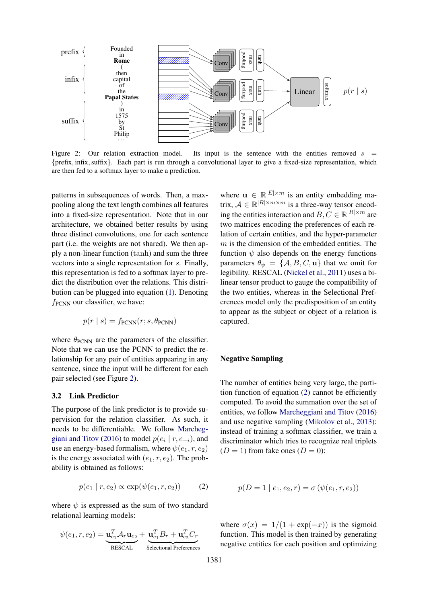<span id="page-3-1"></span>

Figure 2: Our relation extraction model. Its input is the sentence with the entities removed  $s =$ {prefix, infix, suffix}. Each part is run through a convolutional layer to give a fixed-size representation, which are then fed to a softmax layer to make a prediction.

patterns in subsequences of words. Then, a maxpooling along the text length combines all features into a fixed-size representation. Note that in our architecture, we obtained better results by using three distinct convolutions, one for each sentence part (i.e. the weights are not shared). We then apply a non-linear function (tanh) and sum the three vectors into a single representation for s. Finally, this representation is fed to a softmax layer to predict the distribution over the relations. This distribution can be plugged into equation [\(1\)](#page-2-3). Denoting  $f_{PCNN}$  our classifier, we have:

$$
p(r | s) = f_{\text{PCNN}}(r; s, \theta_{\text{PCNN}})
$$

where  $\theta_{\text{PCNN}}$  are the parameters of the classifier. Note that we can use the PCNN to predict the relationship for any pair of entities appearing in any sentence, since the input will be different for each pair selected (see Figure [2\)](#page-3-1).

#### <span id="page-3-0"></span>3.2 Link Predictor

The purpose of the link predictor is to provide supervision for the relation classifier. As such, it needs to be differentiable. We follow [Marcheg](#page-9-8)[giani and Titov](#page-9-8) [\(2016\)](#page-9-8) to model  $p(e_i | r, e_{-i})$ , and use an energy-based formalism, where  $\psi(e_1, r, e_2)$ is the energy associated with  $(e_1, r, e_2)$ . The probability is obtained as follows:

<span id="page-3-2"></span>
$$
p(e_1 | r, e_2) \propto \exp(\psi(e_1, r, e_2)) \quad (2)
$$

where  $\psi$  is expressed as the sum of two standard relational learning models:

$$
\psi(e_1,r,e_2) = \underbrace{\mathbf{u}_{e_1}^T \mathcal{A}_r \mathbf{u}_{e_2}}_{\text{RESCAL}} + \underbrace{\mathbf{u}_{e_1}^T B_r + \mathbf{u}_{e_2}^T C_r}_{\text{Selectional Prefrences}}
$$

where  $\mathbf{u} \in \mathbb{R}^{|E| \times m}$  is an entity embedding matrix,  $A \in \mathbb{R}^{|R| \times m \times m}$  is a three-way tensor encoding the entities interaction and  $B, C \in \mathbb{R}^{|R| \times m}$  are two matrices encoding the preferences of each relation of certain entities, and the hyper-parameter  $m$  is the dimension of the embedded entities. The function  $\psi$  also depends on the energy functions parameters  $\theta_{\psi} = {\mathcal{A}, B, C, \mathbf{u}}$  that we omit for legibility. RESCAL [\(Nickel et al.,](#page-9-12) [2011\)](#page-9-12) uses a bilinear tensor product to gauge the compatibility of the two entities, whereas in the Selectional Preferences model only the predisposition of an entity to appear as the subject or object of a relation is captured.

#### Negative Sampling

The number of entities being very large, the partition function of equation [\(2\)](#page-3-2) cannot be efficiently computed. To avoid the summation over the set of entities, we follow [Marcheggiani and Titov](#page-9-8) [\(2016\)](#page-9-8) and use negative sampling [\(Mikolov et al.,](#page-9-14) [2013\)](#page-9-14): instead of training a softmax classifier, we train a discriminator which tries to recognize real triplets  $(D = 1)$  from fake ones  $(D = 0)$ :

$$
p(D = 1 | e_1, e_2, r) = \sigma(\psi(e_1, r, e_2))
$$

where  $\sigma(x) = 1/(1 + \exp(-x))$  is the sigmoid function. This model is then trained by generating negative entities for each position and optimizing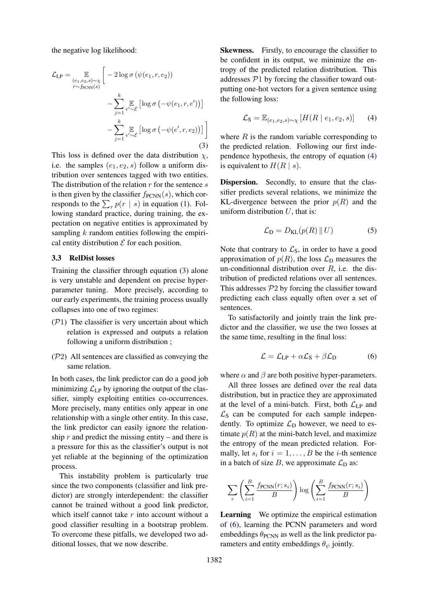the negative log likelihood:

$$
\mathcal{L}_{LP} = \mathop{\mathbb{E}}_{\substack{(e_1, e_2, s) \sim \chi \\ r \sim f_{\text{PCNN}}(s)}} \left[ -2 \log \sigma \left( \psi(e_1, r, e_2) \right) - \sum_{j=1}^k \mathop{\mathbb{E}}_{e' \sim \mathcal{E}} \left[ \log \sigma \left( -\psi(e_1, r, e') \right) \right] - \sum_{j=1}^k \mathop{\mathbb{E}}_{e' \sim \mathcal{E}} \left[ \log \sigma \left( -\psi(e', r, e_2) \right) \right] \right]
$$
\n(3)

This loss is defined over the data distribution  $\chi$ , i.e. the samples  $(e_1, e_2, s)$  follow a uniform distribution over sentences tagged with two entities. The distribution of the relation  $r$  for the sentence  $s$ is then given by the classifier  $f_{\text{PCNN}}(s)$ , which corresponds to the  $\sum_{r} p(r | s)$  in equation [\(1\)](#page-2-3). Following standard practice, during training, the expectation on negative entities is approximated by sampling  $k$  random entities following the empirical entity distribution  $\mathcal E$  for each position.

### <span id="page-4-0"></span>3.3 RelDist losses

Training the classifier through equation [\(3\)](#page-4-1) alone is very unstable and dependent on precise hyperparameter tuning. More precisely, according to our early experiments, the training process usually collapses into one of two regimes:

- $(\mathcal{P}1)$  The classifier is very uncertain about which relation is expressed and outputs a relation following a uniform distribution ;
- (P2) All sentences are classified as conveying the same relation.

In both cases, the link predictor can do a good job minimizing  $\mathcal{L}_{LP}$  by ignoring the output of the classifier, simply exploiting entities co-occurrences. More precisely, many entities only appear in one relationship with a single other entity. In this case, the link predictor can easily ignore the relationship  $r$  and predict the missing entity – and there is a pressure for this as the classifier's output is not yet reliable at the beginning of the optimization process.

This instability problem is particularly true since the two components (classifier and link predictor) are strongly interdependent: the classifier cannot be trained without a good link predictor, which itself cannot take  $r$  into account without a good classifier resulting in a bootstrap problem. To overcome these pitfalls, we developed two additional losses, that we now describe.

<span id="page-4-1"></span>Skewness. Firstly, to encourage the classifier to be confident in its output, we minimize the entropy of the predicted relation distribution. This addresses  $P1$  by forcing the classifier toward outputting one-hot vectors for a given sentence using the following loss:

<span id="page-4-2"></span>
$$
\mathcal{L}_{\mathbf{S}} = \mathbb{E}_{(e_1, e_2, s) \sim \chi} \left[ H(R \mid e_1, e_2, s) \right] \tag{4}
$$

where  $R$  is the random variable corresponding to the predicted relation. Following our first independence hypothesis, the entropy of equation [\(4\)](#page-4-2) is equivalent to  $H(R \mid s)$ .

Dispersion. Secondly, to ensure that the classifier predicts several relations, we minimize the KL-divergence between the prior  $p(R)$  and the uniform distribution  $U$ , that is:

<span id="page-4-4"></span>
$$
\mathcal{L}_{\mathcal{D}} = D_{\mathcal{KL}}(p(R) \parallel U) \tag{5}
$$

Note that contrary to  $\mathcal{L}_S$ , in order to have a good approximation of  $p(R)$ , the loss  $\mathcal{L}_D$  measures the un-conditionnal distribution over  $R$ , i.e. the distribution of predicted relations over all sentences. This addresses  $P2$  by forcing the classifier toward predicting each class equally often over a set of sentences.

To satisfactorily and jointly train the link predictor and the classifier, we use the two losses at the same time, resulting in the final loss:

<span id="page-4-3"></span>
$$
\mathcal{L} = \mathcal{L}_{LP} + \alpha \mathcal{L}_S + \beta \mathcal{L}_D \tag{6}
$$

where  $\alpha$  and  $\beta$  are both positive hyper-parameters.

All three losses are defined over the real data distribution, but in practice they are approximated at the level of a mini-batch. First, both  $\mathcal{L}_{LP}$  and  $\mathcal{L}_S$  can be computed for each sample independently. To optimize  $\mathcal{L}_D$  however, we need to estimate  $p(R)$  at the mini-batch level, and maximize the entropy of the mean predicted relation. Formally, let  $s_i$  for  $i = 1, \ldots, B$  be the *i*-th sentence in a batch of size B, we approximate  $\mathcal{L}_{\text{D}}$  as:

$$
\sum_{r} \left( \sum_{i=1}^{B} \frac{f_{\text{PCNN}}(r;s_i)}{B} \right) \log \left( \sum_{i=1}^{B} \frac{f_{\text{PCNN}}(r;s_i)}{B} \right)
$$

Learning We optimize the empirical estimation of [\(6\)](#page-4-3), learning the PCNN parameters and word embeddings  $\theta_{\text{PCNN}}$  as well as the link predictor parameters and entity embeddings  $\theta_{\psi}$  jointly.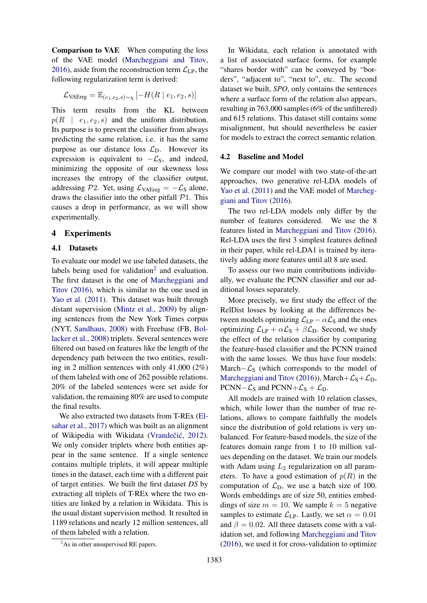Comparison to VAE When computing the loss of the VAE model [\(Marcheggiani and Titov,](#page-9-8) [2016\)](#page-9-8), aside from the reconstruction term  $\mathcal{L}_{LP}$ , the following regularization term is derived:

$$
\mathcal{L}_{\text{VAEreg}} = \mathbb{E}_{(e_1, e_2, s) \sim \chi} \left[ -H(R \mid e_1, e_2, s) \right]
$$

This term results from the KL between  $p(R \mid e_1, e_2, s)$  and the uniform distribution. Its purpose is to prevent the classifier from always predicting the same relation, i.e. it has the same purpose as our distance loss  $\mathcal{L}_D$ . However its expression is equivalent to  $-\mathcal{L}_s$ , and indeed, minimizing the opposite of our skewness loss increases the entropy of the classifier output, addressing P2. Yet, using  $\mathcal{L}_{VAEreg} = -\mathcal{L}_{S}$  alone, draws the classifier into the other pitfall  $P1$ . This causes a drop in performance, as we will show experimentally.

### <span id="page-5-0"></span>4 Experiments

### 4.1 Datasets

To evaluate our model we use labeled datasets, the labels being used for validation $<sup>2</sup>$  $<sup>2</sup>$  $<sup>2</sup>$  and evaluation.</sup> The first dataset is the one of [Marcheggiani and](#page-9-8) [Titov](#page-9-8) [\(2016\)](#page-9-8), which is similar to the one used in [Yao et al.](#page-9-6) [\(2011\)](#page-9-6). This dataset was built through distant supervision [\(Mintz et al.,](#page-9-9) [2009\)](#page-9-9) by aligning sentences from the New York Times corpus (NYT, [Sandhaus,](#page-9-15) [2008\)](#page-9-15) with Freebase (FB, [Bol](#page-8-4)[lacker et al.,](#page-8-4) [2008\)](#page-8-4) triplets. Several sentences were filtered out based on features like the length of the dependency path between the two entities, resulting in 2 million sentences with only 41,000 (2%) of them labeled with one of 262 possible relations. 20% of the labeled sentences were set aside for validation, the remaining 80% are used to compute the final results.

We also extracted two datasets from T-REx [\(El](#page-9-16)[sahar et al.,](#page-9-16) [2017\)](#page-9-16) which was built as an alignment of Wikipedia with Wikidata (Vrandečić, [2012\)](#page-9-17). We only consider triplets where both entities appear in the same sentence. If a single sentence contains multiple triplets, it will appear multiple times in the dataset, each time with a different pair of target entities. We built the first dataset *DS* by extracting all triplets of T-REx where the two entities are linked by a relation in Wikidata. This is the usual distant supervision method. It resulted in 1189 relations and nearly 12 million sentences, all of them labeled with a relation.

In Wikidata, each relation is annotated with a list of associated surface forms, for example "shares border with" can be conveyed by "borders", "adjacent to", "next to", etc. The second dataset we built, *SPO*, only contains the sentences where a surface form of the relation also appears, resulting in 763,000 samples (6% of the unfiltered) and 615 relations. This dataset still contains some misalignment, but should nevertheless be easier for models to extract the correct semantic relation.

#### 4.2 Baseline and Model

We compare our model with two state-of-the-art approaches, two generative rel-LDA models of [Yao et al.](#page-9-6) [\(2011\)](#page-9-6) and the VAE model of [Marcheg](#page-9-8)[giani and Titov](#page-9-8) [\(2016\)](#page-9-8).

The two rel-LDA models only differ by the number of features considered. We use the 8 features listed in [Marcheggiani and Titov](#page-9-8) [\(2016\)](#page-9-8). Rel-LDA uses the first 3 simplest features defined in their paper, while rel-LDA1 is trained by iteratively adding more features until all 8 are used.

To assess our two main contributions individually, we evaluate the PCNN classifier and our additional losses separately.

More precisely, we first study the effect of the RelDist losses by looking at the differences between models optimizing  $\mathcal{L}_{LP} - \alpha \mathcal{L}_S$  and the ones optimizing  $\mathcal{L}_{LP} + \alpha \mathcal{L}_S + \beta \mathcal{L}_D$ . Second, we study the effect of the relation classifier by comparing the feature-based classifier and the PCNN trained with the same losses. We thus have four models: March– $\mathcal{L}_S$  (which corresponds to the model of [Marcheggiani and Titov](#page-9-8) [\(2016\)](#page-9-8)), March+ $\mathcal{L}_{S}+\mathcal{L}_{D}$ , PCNN– $\mathcal{L}_S$  and PCNN+ $\mathcal{L}_S$  +  $\mathcal{L}_D$ .

All models are trained with 10 relation classes, which, while lower than the number of true relations, allows to compare faithfully the models since the distribution of gold relations is very unbalanced. For feature-based models, the size of the features domain range from 1 to 10 million values depending on the dataset. We train our models with Adam using  $L_2$  regularization on all parameters. To have a good estimation of  $p(R)$  in the computation of  $\mathcal{L}_{\text{D}}$ , we use a batch size of 100. Words embeddings are of size 50, entities embeddings of size  $m = 10$ . We sample  $k = 5$  negative samples to estimate  $\mathcal{L}_{\text{LP}}$ . Lastly, we set  $\alpha = 0.01$ and  $\beta = 0.02$ . All three datasets come with a validation set, and following [Marcheggiani and Titov](#page-9-8) [\(2016\)](#page-9-8), we used it for cross-validation to optimize

<sup>&</sup>lt;sup>2</sup>As in other unsupervised RE papers.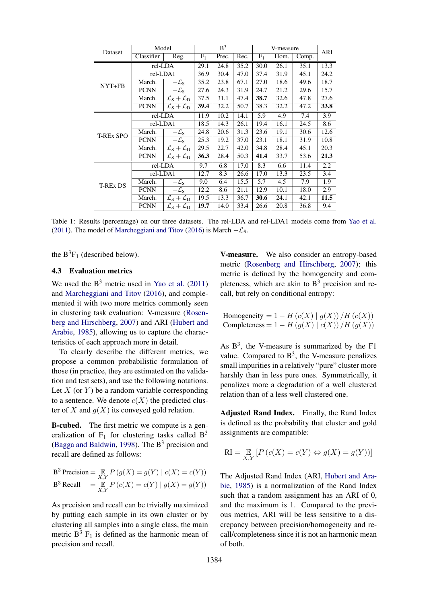<span id="page-6-0"></span>

| Dataset          | Model       |                                                   | B <sup>3</sup> |       |      | V-measure |      |       | ARI  |
|------------------|-------------|---------------------------------------------------|----------------|-------|------|-----------|------|-------|------|
|                  | Classifier  | Reg.                                              | $F_1$          | Prec. | Rec. | $F_1$     | Hom. | Comp. |      |
| NYT+FB           | rel-LDA     |                                                   | 29.1           | 24.8  | 35.2 | 30.0      | 26.1 | 35.1  | 13.3 |
|                  | rel-LDA1    |                                                   | 36.9           | 30.4  | 47.0 | 37.4      | 31.9 | 45.1  | 24.2 |
|                  | March.      | $-\mathcal{L}_\mathrm{S}$                         | 35.2           | 23.8  | 67.1 | 27.0      | 18.6 | 49.6  | 18.7 |
|                  | <b>PCNN</b> | $-\mathcal{L}_\mathrm{S}$                         | 27.6           | 24.3  | 31.9 | 24.7      | 21.2 | 29.6  | 15.7 |
|                  | March.      | $\mathcal{L}_{\rm S} + \mathcal{L}_{\rm D}$       | 37.5           | 31.1  | 47.4 | 38.7      | 32.6 | 47.8  | 27.6 |
|                  | <b>PCNN</b> | $\mathcal{L}_\mathrm{S} + \mathcal{L}_\mathrm{D}$ | 39.4           | 32.2  | 50.7 | 38.3      | 32.2 | 47.2  | 33.8 |
| <b>T-REX SPO</b> | rel-LDA     |                                                   | 11.9           | 10.2  | 14.1 | 5.9       | 4.9  | 7.4   | 3.9  |
|                  | rel-LDA1    |                                                   | 18.5           | 14.3  | 26.1 | 19.4      | 16.1 | 24.5  | 8.6  |
|                  | March.      | $-\mathcal{L}_\mathrm{S}$                         | 24.8           | 20.6  | 31.3 | 23.6      | 19.1 | 30.6  | 12.6 |
|                  | <b>PCNN</b> | $-\mathcal{L}_\mathrm{S}$                         | 25.3           | 19.2  | 37.0 | 23.1      | 18.1 | 31.9  | 10.8 |
|                  | March.      | $\mathcal{L}_\mathrm{S}+\mathcal{L}_\mathrm{D}$   | 29.5           | 22.7  | 42.0 | 34.8      | 28.4 | 45.1  | 20.3 |
|                  | <b>PCNN</b> | $\mathcal{L}_\mathrm{S}+\mathcal{L}_\mathrm{D}$   | 36.3           | 28.4  | 50.3 | 41.4      | 33.7 | 53.6  | 21.3 |
| <b>T-REx DS</b>  | rel-LDA     |                                                   | 9.7            | 6.8   | 17.0 | 8.3       | 6.6  | 11.4  | 2.2  |
|                  | rel-LDA1    |                                                   | 12.7           | 8.3   | 26.6 | 17.0      | 13.3 | 23.5  | 3.4  |
|                  | March.      | $-\mathcal{L}_\mathrm{S}$                         | 9.0            | 6.4   | 15.5 | 5.7       | 4.5  | 7.9   | 1.9  |
|                  | <b>PCNN</b> | $-\mathcal{L}_\mathrm{S}$                         | 12.2           | 8.6   | 21.1 | 12.9      | 10.1 | 18.0  | 2.9  |
|                  | March.      | $\mathcal{L}_\mathrm{S}+\mathcal{L}_\mathrm{D}$   | 19.5           | 13.3  | 36.7 | 30.6      | 24.1 | 42.1  | 11.5 |
|                  | <b>PCNN</b> | $\mathcal{L}_\mathrm{S} + \mathcal{L}_\mathrm{D}$ | 19.7           | 14.0  | 33.4 | 26.6      | 20.8 | 36.8  | 9.4  |

Table 1: Results (percentage) on our three datasets. The rel-LDA and rel-LDA1 models come from [Yao et al.](#page-9-6) [\(2011\)](#page-9-6). The model of [Marcheggiani and Titov](#page-9-8) [\(2016\)](#page-9-8) is March  $-\mathcal{L}_s$ .

the  $B^3F_1$  (described below).

### 4.3 Evaluation metrics

We used the  $B<sup>3</sup>$  metric used in [Yao et al.](#page-9-6) [\(2011\)](#page-9-6) and [Marcheggiani and Titov](#page-9-8) [\(2016\)](#page-9-8), and complemented it with two more metrics commonly seen in clustering task evaluation: V-measure [\(Rosen](#page-9-18)[berg and Hirschberg,](#page-9-18) [2007\)](#page-9-18) and ARI [\(Hubert and](#page-9-19) [Arabie,](#page-9-19) [1985\)](#page-9-19), allowing us to capture the characteristics of each approach more in detail.

To clearly describe the different metrics, we propose a common probabilistic formulation of those (in practice, they are estimated on the validation and test sets), and use the following notations. Let  $X$  (or  $Y$ ) be a random variable corresponding to a sentence. We denote  $c(X)$  the predicted cluster of X and  $g(X)$  its conveyed gold relation.

B-cubed. The first metric we compute is a generalization of  $F_1$  for clustering tasks called  $B^3$ [\(Bagga and Baldwin,](#page-8-5) [1998\)](#page-8-5). The  $B<sup>3</sup>$  precision and recall are defined as follows:

$$
B3 Precision = \underset{X,Y}{\mathbb{E}} P(g(X) = g(Y) | c(X) = c(Y))
$$
  

$$
B3 Recall = \underset{X,Y}{\mathbb{E}} P(c(X) = c(Y) | g(X) = g(Y))
$$

As precision and recall can be trivially maximized by putting each sample in its own cluster or by clustering all samples into a single class, the main metric  $B^3$  F<sub>1</sub> is defined as the harmonic mean of precision and recall.

V-measure. We also consider an entropy-based metric [\(Rosenberg and Hirschberg,](#page-9-18) [2007\)](#page-9-18); this metric is defined by the homogeneity and completeness, which are akin to  $B<sup>3</sup>$  precision and recall, but rely on conditional entropy:

Homogeneity =  $1 - H(c(X) | g(X)) / H(c(X))$ Completeness =  $1 - H(g(X) | c(X)) / H(g(X))$ 

As  $B<sup>3</sup>$ , the V-measure is summarized by the F1 value. Compared to  $B^3$ , the V-measure penalizes small impurities in a relatively "pure" cluster more harshly than in less pure ones. Symmetrically, it penalizes more a degradation of a well clustered relation than of a less well clustered one.

Adjusted Rand Index. Finally, the Rand Index is defined as the probability that cluster and gold assignments are compatible:

$$
\mathbf{RI} = \underset{X,Y}{\mathbb{E}} \left[ P\left( c(X) = c(Y) \Leftrightarrow g(X) = g(Y) \right) \right]
$$

The Adjusted Rand Index (ARI, [Hubert and Ara](#page-9-19)[bie,](#page-9-19) [1985\)](#page-9-19) is a normalization of the Rand Index such that a random assignment has an ARI of 0, and the maximum is 1. Compared to the previous metrics, ARI will be less sensitive to a discrepancy between precision/homogeneity and recall/completeness since it is not an harmonic mean of both.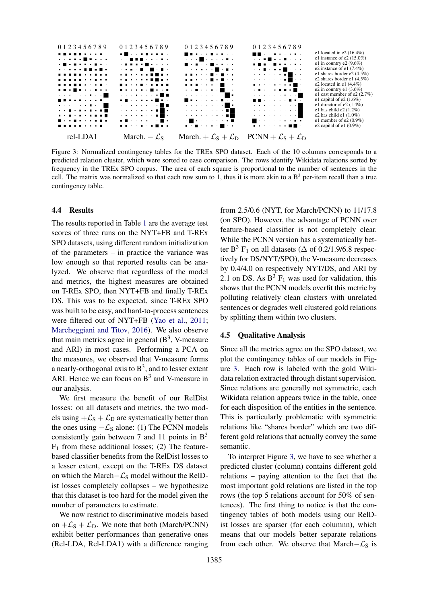<span id="page-7-0"></span>

Figure 3: Normalized contingency tables for the TREx SPO dataset. Each of the 10 columns corresponds to a predicted relation cluster, which were sorted to ease comparison. The rows identify Wikidata relations sorted by frequency in the TREx SPO corpus. The area of each square is proportional to the number of sentences in the cell. The matrix was normalized so that each row sum to 1, thus it is more akin to a  $B<sup>3</sup>$  per-item recall than a true contingency table.

#### 4.4 Results

The results reported in Table [1](#page-6-0) are the average test scores of three runs on the NYT+FB and T-REx SPO datasets, using different random initialization of the parameters – in practice the variance was low enough so that reported results can be analyzed. We observe that regardless of the model and metrics, the highest measures are obtained on T-REx SPO, then NYT+FB and finally T-REx DS. This was to be expected, since T-REx SPO was built to be easy, and hard-to-process sentences were filtered out of NYT+FB [\(Yao et al.,](#page-9-6) [2011;](#page-9-6) [Marcheggiani and Titov,](#page-9-8) [2016\)](#page-9-8). We also observe that main metrics agree in general  $(B^3, V\text{-}\text{measure})$ and ARI) in most cases. Performing a PCA on the measures, we observed that V-measure forms a nearly-orthogonal axis to  $B^3$ , and to lesser extent ARI. Hence we can focus on  $B<sup>3</sup>$  and V-measure in our analysis.

We first measure the benefit of our RelDist losses: on all datasets and metrics, the two models using  $+\mathcal{L}_S + \mathcal{L}_D$  are systematically better than the ones using  $-\mathcal{L}_s$  alone: (1) The PCNN models consistently gain between 7 and 11 points in  $B<sup>3</sup>$  $F_1$  from these additional losses; (2) The featurebased classifier benefits from the RelDist losses to a lesser extent, except on the T-REx DS dataset on which the March– $\mathcal{L}_S$  model without the RelDist losses completely collapses – we hypothesize that this dataset is too hard for the model given the number of parameters to estimate.

We now restrict to discriminative models based on  $+\mathcal{L}_S + \mathcal{L}_D$ . We note that both (March/PCNN) exhibit better performances than generative ones (Rel-LDA, Rel-LDA1) with a difference ranging

from 2.5/0.6 (NYT, for March/PCNN) to 11/17.8 (on SPO). However, the advantage of PCNN over feature-based classifier is not completely clear. While the PCNN version has a systematically better B<sup>3</sup> F<sub>1</sub> on all datasets ( $\Delta$  of 0.2/1.9/6.8 respectively for DS/NYT/SPO), the V-measure decreases by 0.4/4.0 on respectively NYT/DS, and ARI by 2.1 on DS. As  $B^3$  F<sub>1</sub> was used for validation, this shows that the PCNN models overfit this metric by polluting relatively clean clusters with unrelated sentences or degrades well clustered gold relations by splitting them within two clusters.

#### 4.5 Qualitative Analysis

Since all the metrics agree on the SPO dataset, we plot the contingency tables of our models in Figure [3.](#page-7-0) Each row is labeled with the gold Wikidata relation extracted through distant supervision. Since relations are generally not symmetric, each Wikidata relation appears twice in the table, once for each disposition of the entities in the sentence. This is particularly problematic with symmetric relations like "shares border" which are two different gold relations that actually convey the same semantic.

To interpret Figure [3,](#page-7-0) we have to see whether a predicted cluster (column) contains different gold relations – paying attention to the fact that the most important gold relations are listed in the top rows (the top 5 relations account for 50% of sentences). The first thing to notice is that the contingency tables of both models using our RelDist losses are sparser (for each columnn), which means that our models better separate relations from each other. We observe that March– $\mathcal{L}_S$  is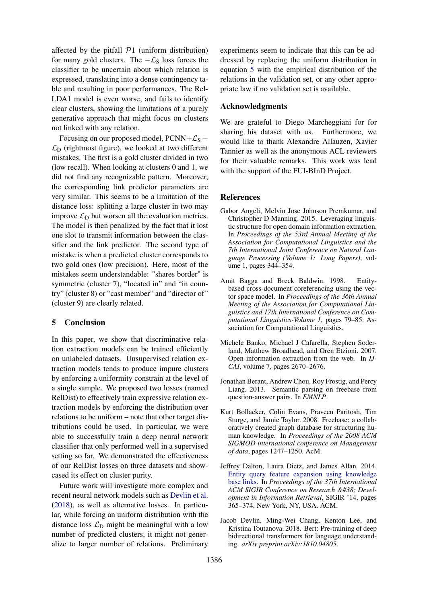affected by the pitfall  $P1$  (uniform distribution) for many gold clusters. The  $-\mathcal{L}_S$  loss forces the classifier to be uncertain about which relation is expressed, translating into a dense contingency table and resulting in poor performances. The Rel-LDA1 model is even worse, and fails to identify clear clusters, showing the limitations of a purely generative approach that might focus on clusters not linked with any relation.

Focusing on our proposed model,  $PCNN+\mathcal{L}_S$  +  $\mathcal{L}_D$  (rightmost figure), we looked at two different mistakes. The first is a gold cluster divided in two (low recall). When looking at clusters 0 and 1, we did not find any recognizable pattern. Moreover, the corresponding link predictor parameters are very similar. This seems to be a limitation of the distance loss: splitting a large cluster in two may improve  $\mathcal{L}_D$  but worsen all the evaluation metrics. The model is then penalized by the fact that it lost one slot to transmit information between the classifier and the link predictor. The second type of mistake is when a predicted cluster corresponds to two gold ones (low precision). Here, most of the mistakes seem understandable: "shares border" is symmetric (cluster 7), "located in" and "in country" (cluster 8) or "cast member" and "director of" (cluster 9) are clearly related.

### 5 Conclusion

In this paper, we show that discriminative relation extraction models can be trained efficiently on unlabeled datasets. Unsupervised relation extraction models tends to produce impure clusters by enforcing a uniformity constrain at the level of a single sample. We proposed two losses (named RelDist) to effectively train expressive relation extraction models by enforcing the distribution over relations to be uniform – note that other target distributions could be used. In particular, we were able to successfully train a deep neural network classifier that only performed well in a supervised setting so far. We demonstrated the effectiveness of our RelDist losses on three datasets and showcased its effect on cluster purity.

Future work will investigate more complex and recent neural network models such as [Devlin et al.](#page-8-6) [\(2018\)](#page-8-6), as well as alternative losses. In particular, while forcing an uniform distribution with the distance loss  $\mathcal{L}_D$  might be meaningful with a low number of predicted clusters, it might not generalize to larger number of relations. Preliminary

experiments seem to indicate that this can be addressed by replacing the uniform distribution in equation [5](#page-4-4) with the empirical distribution of the relations in the validation set, or any other appropriate law if no validation set is available.

### Acknowledgments

We are grateful to Diego Marcheggiani for for sharing his dataset with us. Furthermore, we would like to thank Alexandre Allauzen, Xavier Tannier as well as the anonymous ACL reviewers for their valuable remarks. This work was lead with the support of the FUI-BInD Project.

#### **References**

- <span id="page-8-3"></span>Gabor Angeli, Melvin Jose Johnson Premkumar, and Christopher D Manning. 2015. Leveraging linguistic structure for open domain information extraction. In *Proceedings of the 53rd Annual Meeting of the Association for Computational Linguistics and the 7th International Joint Conference on Natural Language Processing (Volume 1: Long Papers)*, volume 1, pages 344–354.
- <span id="page-8-5"></span>Amit Bagga and Breck Baldwin. 1998. Entitybased cross-document coreferencing using the vector space model. In *Proceedings of the 36th Annual Meeting of the Association for Computational Linguistics and 17th International Conference on Computational Linguistics-Volume 1*, pages 79–85. Association for Computational Linguistics.
- <span id="page-8-2"></span>Michele Banko, Michael J Cafarella, Stephen Soderland, Matthew Broadhead, and Oren Etzioni. 2007. Open information extraction from the web. In *IJ-CAI*, volume 7, pages 2670–2676.
- <span id="page-8-0"></span>Jonathan Berant, Andrew Chou, Roy Frostig, and Percy Liang. 2013. Semantic parsing on freebase from question-answer pairs. In *EMNLP*.
- <span id="page-8-4"></span>Kurt Bollacker, Colin Evans, Praveen Paritosh, Tim Sturge, and Jamie Taylor. 2008. Freebase: a collaboratively created graph database for structuring human knowledge. In *Proceedings of the 2008 ACM SIGMOD international conference on Management of data*, pages 1247–1250. AcM.
- <span id="page-8-1"></span>Jeffrey Dalton, Laura Dietz, and James Allan. 2014. [Entity query feature expansion using knowledge](https://doi.org/10.1145/2600428.2609628) [base links.](https://doi.org/10.1145/2600428.2609628) In *Proceedings of the 37th International* ACM SIGIR Conference on Research & Devel*opment in Information Retrieval*, SIGIR '14, pages 365–374, New York, NY, USA. ACM.
- <span id="page-8-6"></span>Jacob Devlin, Ming-Wei Chang, Kenton Lee, and Kristina Toutanova. 2018. Bert: Pre-training of deep bidirectional transformers for language understanding. *arXiv preprint arXiv:1810.04805*.